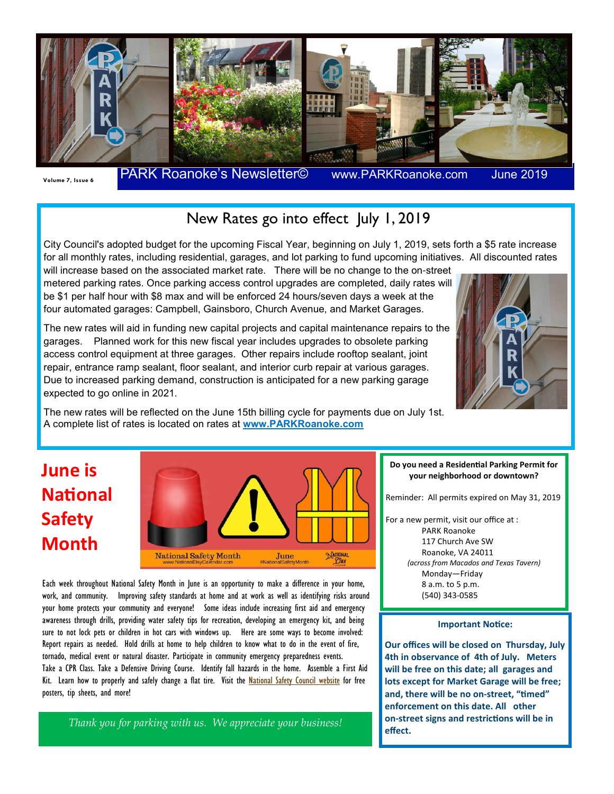

**June 2019** 

### New Rates go into effect July 1, 2019

City Council's adopted budget for the upcoming Fiscal Year, beginning on July 1, 2019, sets forth a \$5 rate increase for all monthly rates, including residential, garages, and lot parking to fund upcoming initiatives. All discounted rates

will increase based on the associated market rate. There will be no change to the on-street metered parking rates. Once parking access control upgrades are completed, daily rates will be \$1 per half hour with \$8 max and will be enforced 24 hours/seven days a week at the four automated garages: Campbell, Gainsboro, Church Avenue, and Market Garages.

The new rates will aid in funding new capital projects and capital maintenance repairs to the garages. Planned work for this new fiscal year includes upgrades to obsolete parking access control equipment at three garages. Other repairs include rooftop sealant, joint repair, entrance ramp sealant, floor sealant, and interior curb repair at various garages. Due to increased parking demand, construction is anticipated for a new parking garage expected to go online in 2021.



The new rates will be reflected on the June 15th billing cycle for payments due on July 1st. A complete list of rates is located on rates at **www.PARKRoanoke.com**

## **June is National Safety Month**



Each week throughout National Safety Month in June is an opportunity to make a difference in your home, work, and community. Improving safety standards at home and at work as well as identifying risks around your home protects your community and everyone! Some ideas include increasing first aid and emergency awareness through drills, providing water safety tips for recreation, developing an emergency kit, and being sure to not lock pets or children in hot cars with windows up. Here are some ways to become involved: Report repairs as needed. Hold drills at home to help children to know what to do in the event of fire, tornado, medical event or natural disaster. Participate in community emergency preparedness events. Take a CPR Class. Take a Defensive Driving Course. Identify fall hazards in the home. Assemble a First Aid Kit. Learn how to properly and safely change a flat tire. Visit the **National Safety Council website** for free posters, tip sheets, and more!

*Thank you for parking with us. We appreciate your business!* 

#### Do you need a Residential Parking Permit for **your neighborhood or downtown?**

Reminder: All permits expired on May 31, 2019

For a new permit, visit our office at : PARK Roanoke 117 Church Ave SW Roanoke, VA 24011 *(across from Macados and Texas Tavern)*  Monday—Friday 8 a.m. to 5 p.m. (540) 343-0585

#### **Important Notice:**

**Our offices will be closed on Thursday, July 4th in observance of 4th of July. Meters will be free on this date; all garages and lots except for Market Garage will be free;**  and, there will be no on-street, "timed" **enforcement on this date. All other**  on-street signs and restrictions will be in **effect.**